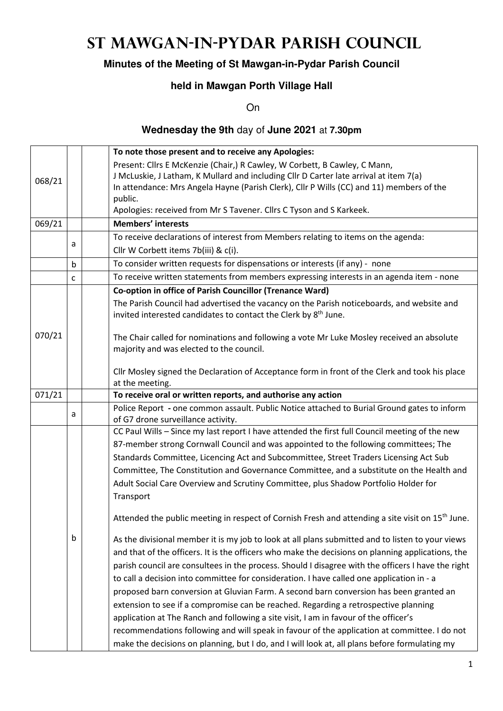# **St Mawgan-in-Pydar Parish Council**

## **Minutes of the Meeting of St Mawgan-in-Pydar Parish Council**

## **held in Mawgan Porth Village Hall**

On

#### **Wednesday the 9th** day of **June 2021** at **7.30pm**

|        |             | To note those present and to receive any Apologies:                                                                                                                      |
|--------|-------------|--------------------------------------------------------------------------------------------------------------------------------------------------------------------------|
|        |             | Present: Cllrs E McKenzie (Chair,) R Cawley, W Corbett, B Cawley, C Mann,                                                                                                |
| 068/21 |             | J McLuskie, J Latham, K Mullard and including Cllr D Carter late arrival at item 7(a)                                                                                    |
|        |             | In attendance: Mrs Angela Hayne (Parish Clerk), Cllr P Wills (CC) and 11) members of the                                                                                 |
|        |             | public.                                                                                                                                                                  |
|        |             | Apologies: received from Mr S Tavener. Cllrs C Tyson and S Karkeek.                                                                                                      |
| 069/21 |             | <b>Members' interests</b>                                                                                                                                                |
|        |             | To receive declarations of interest from Members relating to items on the agenda:                                                                                        |
|        | a           | Cllr W Corbett items 7b(iii) & c(i).                                                                                                                                     |
|        | $\mathsf b$ | To consider written requests for dispensations or interests (if any) - none                                                                                              |
|        | C           | To receive written statements from members expressing interests in an agenda item - none                                                                                 |
|        |             | Co-option in office of Parish Councillor (Trenance Ward)                                                                                                                 |
|        |             | The Parish Council had advertised the vacancy on the Parish noticeboards, and website and<br>invited interested candidates to contact the Clerk by 8 <sup>th</sup> June. |
| 070/21 |             | The Chair called for nominations and following a vote Mr Luke Mosley received an absolute<br>majority and was elected to the council.                                    |
|        |             | Cllr Mosley signed the Declaration of Acceptance form in front of the Clerk and took his place<br>at the meeting.                                                        |
| 071/21 |             | To receive oral or written reports, and authorise any action                                                                                                             |
|        |             | Police Report - one common assault. Public Notice attached to Burial Ground gates to inform                                                                              |
|        | a           | of G7 drone surveillance activity.                                                                                                                                       |
|        |             | CC Paul Wills - Since my last report I have attended the first full Council meeting of the new                                                                           |
|        |             | 87-member strong Cornwall Council and was appointed to the following committees; The                                                                                     |
|        |             | Standards Committee, Licencing Act and Subcommittee, Street Traders Licensing Act Sub                                                                                    |
|        |             | Committee, The Constitution and Governance Committee, and a substitute on the Health and                                                                                 |
|        |             | Adult Social Care Overview and Scrutiny Committee, plus Shadow Portfolio Holder for                                                                                      |
|        |             | Transport                                                                                                                                                                |
|        |             | Attended the public meeting in respect of Cornish Fresh and attending a site visit on 15 <sup>th</sup> June.                                                             |
|        | b           | As the divisional member it is my job to look at all plans submitted and to listen to your views                                                                         |
|        |             | and that of the officers. It is the officers who make the decisions on planning applications, the                                                                        |
|        |             | parish council are consultees in the process. Should I disagree with the officers I have the right                                                                       |
|        |             | to call a decision into committee for consideration. I have called one application in - a                                                                                |
|        |             | proposed barn conversion at Gluvian Farm. A second barn conversion has been granted an                                                                                   |
|        |             | extension to see if a compromise can be reached. Regarding a retrospective planning                                                                                      |
|        |             |                                                                                                                                                                          |
|        |             | application at The Ranch and following a site visit, I am in favour of the officer's                                                                                     |
|        |             | recommendations following and will speak in favour of the application at committee. I do not                                                                             |
|        |             | make the decisions on planning, but I do, and I will look at, all plans before formulating my                                                                            |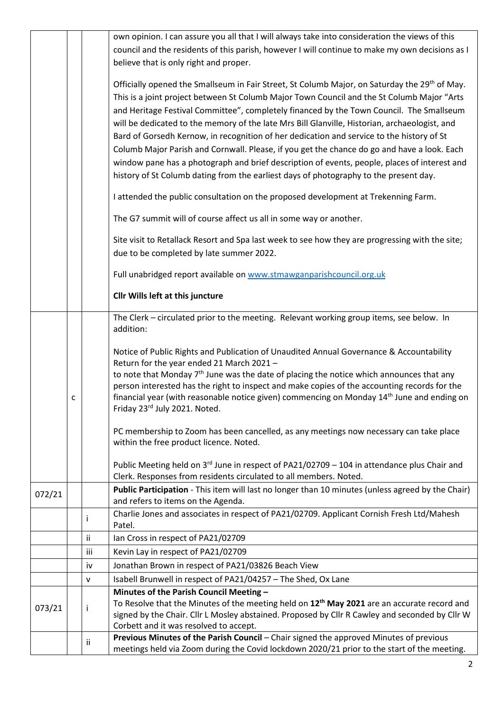|        |   |     | own opinion. I can assure you all that I will always take into consideration the views of this                                           |
|--------|---|-----|------------------------------------------------------------------------------------------------------------------------------------------|
|        |   |     | council and the residents of this parish, however I will continue to make my own decisions as I                                          |
|        |   |     | believe that is only right and proper.                                                                                                   |
|        |   |     | Officially opened the Smallseum in Fair Street, St Columb Major, on Saturday the 29 <sup>th</sup> of May.                                |
|        |   |     | This is a joint project between St Columb Major Town Council and the St Columb Major "Arts                                               |
|        |   |     | and Heritage Festival Committee", completely financed by the Town Council. The Smallseum                                                 |
|        |   |     | will be dedicated to the memory of the late Mrs Bill Glanville, Historian, archaeologist, and                                            |
|        |   |     | Bard of Gorsedh Kernow, in recognition of her dedication and service to the history of St                                                |
|        |   |     | Columb Major Parish and Cornwall. Please, if you get the chance do go and have a look. Each                                              |
|        |   |     | window pane has a photograph and brief description of events, people, places of interest and                                             |
|        |   |     | history of St Columb dating from the earliest days of photography to the present day.                                                    |
|        |   |     | I attended the public consultation on the proposed development at Trekenning Farm.                                                       |
|        |   |     | The G7 summit will of course affect us all in some way or another.                                                                       |
|        |   |     | Site visit to Retallack Resort and Spa last week to see how they are progressing with the site;                                          |
|        |   |     | due to be completed by late summer 2022.                                                                                                 |
|        |   |     | Full unabridged report available on www.stmawganparishcouncil.org.uk                                                                     |
|        |   |     | Cllr Wills left at this juncture                                                                                                         |
|        |   |     | The Clerk - circulated prior to the meeting. Relevant working group items, see below. In                                                 |
|        |   |     | addition:                                                                                                                                |
|        |   |     | Notice of Public Rights and Publication of Unaudited Annual Governance & Accountability<br>Return for the year ended 21 March 2021 -     |
|        |   |     | to note that Monday $7th$ June was the date of placing the notice which announces that any                                               |
|        |   |     | person interested has the right to inspect and make copies of the accounting records for the                                             |
|        | с |     | financial year (with reasonable notice given) commencing on Monday 14 <sup>th</sup> June and ending on                                   |
|        |   |     | Friday 23rd July 2021. Noted.                                                                                                            |
|        |   |     | PC membership to Zoom has been cancelled, as any meetings now necessary can take place                                                   |
|        |   |     | within the free product licence. Noted.                                                                                                  |
|        |   |     | Public Meeting held on 3rd June in respect of PA21/02709 - 104 in attendance plus Chair and                                              |
|        |   |     | Clerk. Responses from residents circulated to all members. Noted.                                                                        |
| 072/21 |   |     | Public Participation - This item will last no longer than 10 minutes (unless agreed by the Chair)                                        |
|        |   |     | and refers to items on the Agenda.<br>Charlie Jones and associates in respect of PA21/02709. Applicant Cornish Fresh Ltd/Mahesh          |
|        |   | Ť   | Patel.                                                                                                                                   |
|        |   | ij. | Ian Cross in respect of PA21/02709                                                                                                       |
|        |   | iii | Kevin Lay in respect of PA21/02709                                                                                                       |
|        |   | iv  | Jonathan Brown in respect of PA21/03826 Beach View                                                                                       |
|        |   | v   | Isabell Brunwell in respect of PA21/04257 - The Shed, Ox Lane                                                                            |
|        |   |     | Minutes of the Parish Council Meeting -                                                                                                  |
| 073/21 |   | j.  | To Resolve that the Minutes of the meeting held on 12 <sup>th</sup> May 2021 are an accurate record and                                  |
|        |   |     | signed by the Chair. Cllr L Mosley abstained. Proposed by Cllr R Cawley and seconded by Cllr W<br>Corbett and it was resolved to accept. |
|        |   |     | Previous Minutes of the Parish Council - Chair signed the approved Minutes of previous                                                   |
|        |   | Ϊİ  | meetings held via Zoom during the Covid lockdown 2020/21 prior to the start of the meeting.                                              |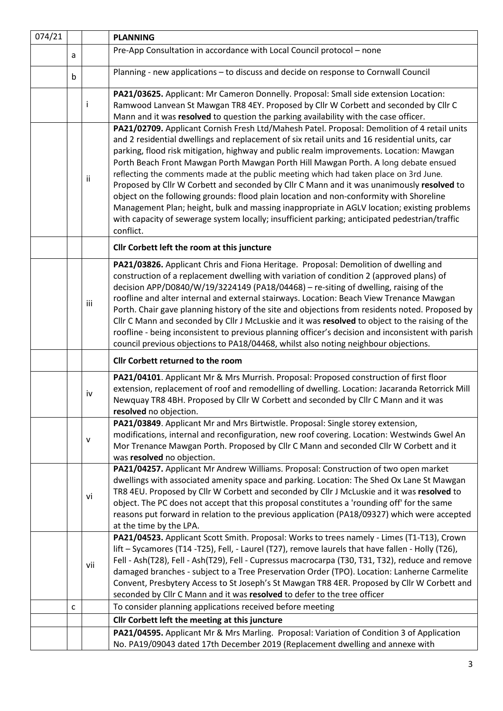| 074/21 |   |              | <b>PLANNING</b>                                                                                                                                                                                                                                                                                                                                                                                                                                                                                                                                                                                                                                                                                                                                                         |  |
|--------|---|--------------|-------------------------------------------------------------------------------------------------------------------------------------------------------------------------------------------------------------------------------------------------------------------------------------------------------------------------------------------------------------------------------------------------------------------------------------------------------------------------------------------------------------------------------------------------------------------------------------------------------------------------------------------------------------------------------------------------------------------------------------------------------------------------|--|
|        | a |              | Pre-App Consultation in accordance with Local Council protocol - none                                                                                                                                                                                                                                                                                                                                                                                                                                                                                                                                                                                                                                                                                                   |  |
|        | b |              | Planning - new applications - to discuss and decide on response to Cornwall Council                                                                                                                                                                                                                                                                                                                                                                                                                                                                                                                                                                                                                                                                                     |  |
|        |   |              | PA21/03625. Applicant: Mr Cameron Donnelly. Proposal: Small side extension Location:                                                                                                                                                                                                                                                                                                                                                                                                                                                                                                                                                                                                                                                                                    |  |
|        |   | Ť            | Ramwood Lanvean St Mawgan TR8 4EY. Proposed by Cllr W Corbett and seconded by Cllr C                                                                                                                                                                                                                                                                                                                                                                                                                                                                                                                                                                                                                                                                                    |  |
|        |   |              | Mann and it was resolved to question the parking availability with the case officer.                                                                                                                                                                                                                                                                                                                                                                                                                                                                                                                                                                                                                                                                                    |  |
|        |   |              | PA21/02709. Applicant Cornish Fresh Ltd/Mahesh Patel. Proposal: Demolition of 4 retail units                                                                                                                                                                                                                                                                                                                                                                                                                                                                                                                                                                                                                                                                            |  |
|        |   | ii           | and 2 residential dwellings and replacement of six retail units and 16 residential units, car<br>parking, flood risk mitigation, highway and public realm improvements. Location: Mawgan<br>Porth Beach Front Mawgan Porth Mawgan Porth Hill Mawgan Porth. A long debate ensued<br>reflecting the comments made at the public meeting which had taken place on 3rd June.<br>Proposed by Cllr W Corbett and seconded by Cllr C Mann and it was unanimously resolved to<br>object on the following grounds: flood plain location and non-conformity with Shoreline<br>Management Plan; height, bulk and massing inappropriate in AGLV location; existing problems<br>with capacity of sewerage system locally; insufficient parking; anticipated pedestrian/traffic       |  |
|        |   |              | conflict.                                                                                                                                                                                                                                                                                                                                                                                                                                                                                                                                                                                                                                                                                                                                                               |  |
|        |   |              | Cllr Corbett left the room at this juncture                                                                                                                                                                                                                                                                                                                                                                                                                                                                                                                                                                                                                                                                                                                             |  |
|        |   | iii          | PA21/03826. Applicant Chris and Fiona Heritage. Proposal: Demolition of dwelling and<br>construction of a replacement dwelling with variation of condition 2 (approved plans) of<br>decision APP/D0840/W/19/3224149 (PA18/04468) - re-siting of dwelling, raising of the<br>roofline and alter internal and external stairways. Location: Beach View Trenance Mawgan<br>Porth. Chair gave planning history of the site and objections from residents noted. Proposed by<br>Cllr C Mann and seconded by Cllr J McLuskie and it was resolved to object to the raising of the<br>roofline - being inconsistent to previous planning officer's decision and inconsistent with parish<br>council previous objections to PA18/04468, whilst also noting neighbour objections. |  |
|        |   |              | Cllr Corbett returned to the room                                                                                                                                                                                                                                                                                                                                                                                                                                                                                                                                                                                                                                                                                                                                       |  |
|        |   | iv           | PA21/04101. Applicant Mr & Mrs Murrish. Proposal: Proposed construction of first floor<br>extension, replacement of roof and remodelling of dwelling. Location: Jacaranda Retorrick Mill<br>Newquay TR8 4BH. Proposed by Cllr W Corbett and seconded by Cllr C Mann and it was<br>resolved no objection.                                                                                                                                                                                                                                                                                                                                                                                                                                                                |  |
|        |   | $\mathsf{V}$ | PA21/03849. Applicant Mr and Mrs Birtwistle. Proposal: Single storey extension,<br>modifications, internal and reconfiguration, new roof covering. Location: Westwinds Gwel An<br>Mor Trenance Mawgan Porth. Proposed by Cllr C Mann and seconded Cllr W Corbett and it<br>was resolved no objection.                                                                                                                                                                                                                                                                                                                                                                                                                                                                   |  |
|        |   | vi           | PA21/04257. Applicant Mr Andrew Williams. Proposal: Construction of two open market<br>dwellings with associated amenity space and parking. Location: The Shed Ox Lane St Mawgan<br>TR8 4EU. Proposed by Cllr W Corbett and seconded by Cllr J McLuskie and it was resolved to<br>object. The PC does not accept that this proposal constitutes a 'rounding off' for the same<br>reasons put forward in relation to the previous application (PA18/09327) which were accepted<br>at the time by the LPA.                                                                                                                                                                                                                                                                |  |
|        | C | vii          | PA21/04523. Applicant Scott Smith. Proposal: Works to trees namely - Limes (T1-T13), Crown<br>lift - Sycamores (T14 -T25), Fell, - Laurel (T27), remove laurels that have fallen - Holly (T26),<br>Fell - Ash(T28), Fell - Ash(T29), Fell - Cupressus macrocarpa (T30, T31, T32), reduce and remove<br>damaged branches - subject to a Tree Preservation Order (TPO). Location: Lanherne Carmelite<br>Convent, Presbytery Access to St Joseph's St Mawgan TR8 4ER. Proposed by Cllr W Corbett and<br>seconded by Cllr C Mann and it was resolved to defer to the tree officer<br>To consider planning applications received before meeting                                                                                                                              |  |
|        |   |              |                                                                                                                                                                                                                                                                                                                                                                                                                                                                                                                                                                                                                                                                                                                                                                         |  |
|        |   |              | Cllr Corbett left the meeting at this juncture<br>PA21/04595. Applicant Mr & Mrs Marling. Proposal: Variation of Condition 3 of Application                                                                                                                                                                                                                                                                                                                                                                                                                                                                                                                                                                                                                             |  |
|        |   |              | No. PA19/09043 dated 17th December 2019 (Replacement dwelling and annexe with                                                                                                                                                                                                                                                                                                                                                                                                                                                                                                                                                                                                                                                                                           |  |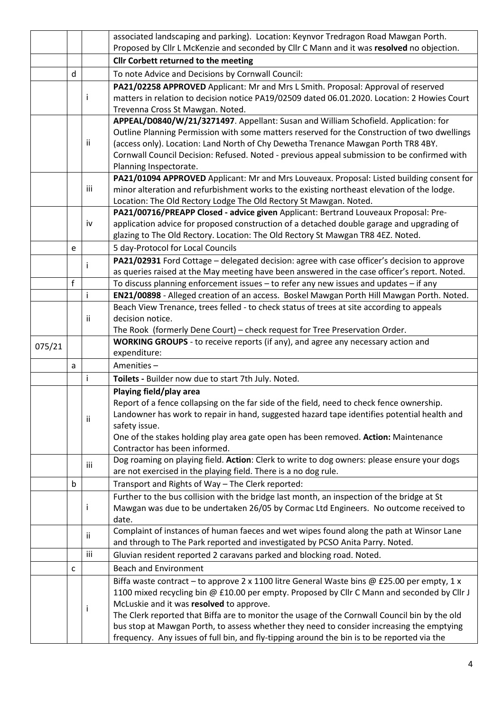|        |              |     | associated landscaping and parking). Location: Keynvor Tredragon Road Mawgan Porth.                                                                                                      |
|--------|--------------|-----|------------------------------------------------------------------------------------------------------------------------------------------------------------------------------------------|
|        |              |     | Proposed by Cllr L McKenzie and seconded by Cllr C Mann and it was resolved no objection.                                                                                                |
|        |              |     | <b>Cllr Corbett returned to the meeting</b>                                                                                                                                              |
|        | d            |     | To note Advice and Decisions by Cornwall Council:                                                                                                                                        |
|        |              |     | PA21/02258 APPROVED Applicant: Mr and Mrs L Smith. Proposal: Approval of reserved                                                                                                        |
|        |              |     | matters in relation to decision notice PA19/02509 dated 06.01.2020. Location: 2 Howies Court                                                                                             |
|        |              |     | Trevenna Cross St Mawgan. Noted.                                                                                                                                                         |
|        |              |     | APPEAL/D0840/W/21/3271497. Appellant: Susan and William Schofield. Application: for                                                                                                      |
|        |              |     | Outline Planning Permission with some matters reserved for the Construction of two dwellings                                                                                             |
|        |              | ii  | (access only). Location: Land North of Chy Dewetha Trenance Mawgan Porth TR8 4BY.                                                                                                        |
|        |              |     | Cornwall Council Decision: Refused. Noted - previous appeal submission to be confirmed with                                                                                              |
|        |              |     | Planning Inspectorate.                                                                                                                                                                   |
|        |              | iii | PA21/01094 APPROVED Applicant: Mr and Mrs Louveaux. Proposal: Listed building consent for                                                                                                |
|        |              |     | minor alteration and refurbishment works to the existing northeast elevation of the lodge.<br>Location: The Old Rectory Lodge The Old Rectory St Mawgan. Noted.                          |
|        |              |     | PA21/00716/PREAPP Closed - advice given Applicant: Bertrand Louveaux Proposal: Pre-                                                                                                      |
|        |              | iv  | application advice for proposed construction of a detached double garage and upgrading of                                                                                                |
|        |              |     | glazing to The Old Rectory. Location: The Old Rectory St Mawgan TR8 4EZ. Noted.                                                                                                          |
|        | e            |     | 5 day-Protocol for Local Councils                                                                                                                                                        |
|        |              |     | PA21/02931 Ford Cottage - delegated decision: agree with case officer's decision to approve                                                                                              |
|        |              |     | as queries raised at the May meeting have been answered in the case officer's report. Noted.                                                                                             |
|        | $\mathsf{f}$ |     | To discuss planning enforcement issues - to refer any new issues and updates - if any                                                                                                    |
|        |              | j   | EN21/00898 - Alleged creation of an access. Boskel Mawgan Porth Hill Mawgan Porth. Noted.                                                                                                |
|        |              |     | Beach View Trenance, trees felled - to check status of trees at site according to appeals                                                                                                |
|        |              | Ϊİ  | decision notice.                                                                                                                                                                         |
|        |              |     | The Rook (formerly Dene Court) - check request for Tree Preservation Order.                                                                                                              |
| 075/21 |              |     | <b>WORKING GROUPS</b> - to receive reports (if any), and agree any necessary action and                                                                                                  |
|        |              |     | expenditure:                                                                                                                                                                             |
|        | a            |     | Amenities-                                                                                                                                                                               |
|        |              | i   | Toilets - Builder now due to start 7th July. Noted.                                                                                                                                      |
|        |              |     | Playing field/play area                                                                                                                                                                  |
|        |              |     | Report of a fence collapsing on the far side of the field, need to check fence ownership.                                                                                                |
|        |              | ii  | Landowner has work to repair in hand, suggested hazard tape identifies potential health and                                                                                              |
|        |              |     | safety issue.                                                                                                                                                                            |
|        |              |     | One of the stakes holding play area gate open has been removed. Action: Maintenance<br>Contractor has been informed.                                                                     |
|        |              |     | Dog roaming on playing field. Action: Clerk to write to dog owners: please ensure your dogs                                                                                              |
|        |              | iii | are not exercised in the playing field. There is a no dog rule.                                                                                                                          |
|        |              |     |                                                                                                                                                                                          |
|        |              |     |                                                                                                                                                                                          |
|        | b            |     | Transport and Rights of Way - The Clerk reported:                                                                                                                                        |
|        |              | i   | Further to the bus collision with the bridge last month, an inspection of the bridge at St                                                                                               |
|        |              |     | Mawgan was due to be undertaken 26/05 by Cormac Ltd Engineers. No outcome received to<br>date.                                                                                           |
|        |              |     | Complaint of instances of human faeces and wet wipes found along the path at Winsor Lane                                                                                                 |
|        |              | ii  | and through to The Park reported and investigated by PCSO Anita Parry. Noted.                                                                                                            |
|        |              | iii | Gluvian resident reported 2 caravans parked and blocking road. Noted.                                                                                                                    |
|        | c            |     | <b>Beach and Environment</b>                                                                                                                                                             |
|        |              |     | Biffa waste contract – to approve 2 x 1100 litre General Waste bins @ £25.00 per empty, 1 x                                                                                              |
|        |              |     | 1100 mixed recycling bin @ £10.00 per empty. Proposed by Cllr C Mann and seconded by Cllr J                                                                                              |
|        |              |     | McLuskie and it was resolved to approve.                                                                                                                                                 |
|        |              |     | The Clerk reported that Biffa are to monitor the usage of the Cornwall Council bin by the old                                                                                            |
|        |              |     | bus stop at Mawgan Porth, to assess whether they need to consider increasing the emptying<br>frequency. Any issues of full bin, and fly-tipping around the bin is to be reported via the |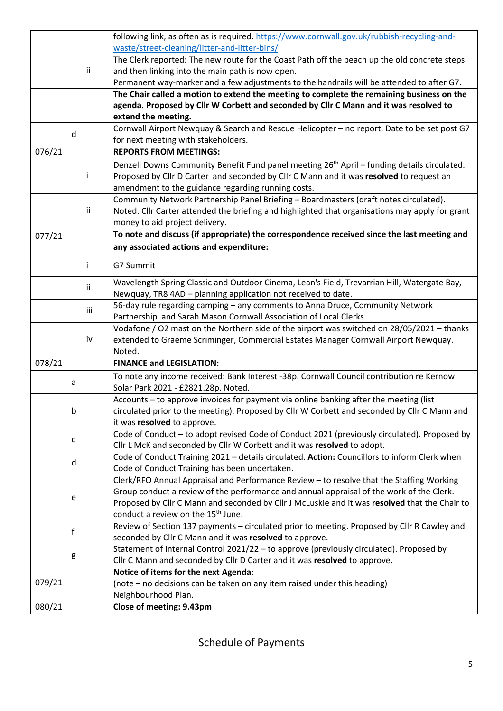|        |   |     | following link, as often as is required. https://www.cornwall.gov.uk/rubbish-recycling-and-             |
|--------|---|-----|---------------------------------------------------------------------------------------------------------|
|        |   |     | waste/street-cleaning/litter-and-litter-bins/                                                           |
|        |   |     | The Clerk reported: The new route for the Coast Path off the beach up the old concrete steps            |
|        |   | ij  | and then linking into the main path is now open.                                                        |
|        |   |     | Permanent way-marker and a few adjustments to the handrails will be attended to after G7.               |
|        |   |     | The Chair called a motion to extend the meeting to complete the remaining business on the               |
|        |   |     | agenda. Proposed by Cllr W Corbett and seconded by Cllr C Mann and it was resolved to                   |
|        |   |     | extend the meeting.                                                                                     |
|        | d |     | Cornwall Airport Newquay & Search and Rescue Helicopter - no report. Date to be set post G7             |
|        |   |     | for next meeting with stakeholders.                                                                     |
| 076/21 |   |     | <b>REPORTS FROM MEETINGS:</b>                                                                           |
|        |   |     | Denzell Downs Community Benefit Fund panel meeting 26 <sup>th</sup> April - funding details circulated. |
|        |   |     | Proposed by Cllr D Carter and seconded by Cllr C Mann and it was resolved to request an                 |
|        |   |     | amendment to the guidance regarding running costs.                                                      |
|        |   |     | Community Network Partnership Panel Briefing - Boardmasters (draft notes circulated).                   |
|        |   | Ϊİ  | Noted. Cllr Carter attended the briefing and highlighted that organisations may apply for grant         |
|        |   |     | money to aid project delivery.                                                                          |
| 077/21 |   |     | To note and discuss (if appropriate) the correspondence received since the last meeting and             |
|        |   |     | any associated actions and expenditure:                                                                 |
|        |   |     |                                                                                                         |
|        |   |     | G7 Summit                                                                                               |
|        |   | ii. | Wavelength Spring Classic and Outdoor Cinema, Lean's Field, Trevarrian Hill, Watergate Bay,             |
|        |   |     | Newquay, TR8 4AD - planning application not received to date.                                           |
|        |   | iii | 56-day rule regarding camping - any comments to Anna Druce, Community Network                           |
|        |   |     | Partnership and Sarah Mason Cornwall Association of Local Clerks.                                       |
|        |   |     | Vodafone / O2 mast on the Northern side of the airport was switched on 28/05/2021 - thanks              |
|        |   | iv  | extended to Graeme Scriminger, Commercial Estates Manager Cornwall Airport Newquay.                     |
|        |   |     | Noted.                                                                                                  |
| 078/21 |   |     | <b>FINANCE and LEGISLATION:</b>                                                                         |
|        |   |     | To note any income received: Bank Interest -38p. Cornwall Council contribution re Kernow                |
|        | a |     | Solar Park 2021 - £2821.28p. Noted.                                                                     |
|        |   |     | Accounts - to approve invoices for payment via online banking after the meeting (list                   |
|        | b |     | circulated prior to the meeting). Proposed by Cllr W Corbett and seconded by Cllr C Mann and            |
|        |   |     | it was resolved to approve.                                                                             |
|        |   |     | Code of Conduct - to adopt revised Code of Conduct 2021 (previously circulated). Proposed by            |
|        | C |     | Cllr L McK and seconded by Cllr W Corbett and it was resolved to adopt.                                 |
|        | d |     | Code of Conduct Training 2021 - details circulated. Action: Councillors to inform Clerk when            |
|        |   |     | Code of Conduct Training has been undertaken.                                                           |
|        |   |     | Clerk/RFO Annual Appraisal and Performance Review - to resolve that the Staffing Working                |
|        |   |     | Group conduct a review of the performance and annual appraisal of the work of the Clerk.                |
|        | e |     | Proposed by Cllr C Mann and seconded by Cllr J McLuskie and it was resolved that the Chair to           |
|        |   |     | conduct a review on the 15 <sup>th</sup> June.                                                          |
|        | f |     | Review of Section 137 payments - circulated prior to meeting. Proposed by Cllr R Cawley and             |
|        |   |     | seconded by Cllr C Mann and it was resolved to approve.                                                 |
|        |   |     | Statement of Internal Control 2021/22 - to approve (previously circulated). Proposed by                 |
|        | g |     | Cllr C Mann and seconded by Cllr D Carter and it was resolved to approve.                               |
|        |   |     | Notice of items for the next Agenda:                                                                    |
| 079/21 |   |     | (note – no decisions can be taken on any item raised under this heading)                                |
|        |   |     | Neighbourhood Plan.                                                                                     |
| 080/21 |   |     | Close of meeting: 9.43pm                                                                                |